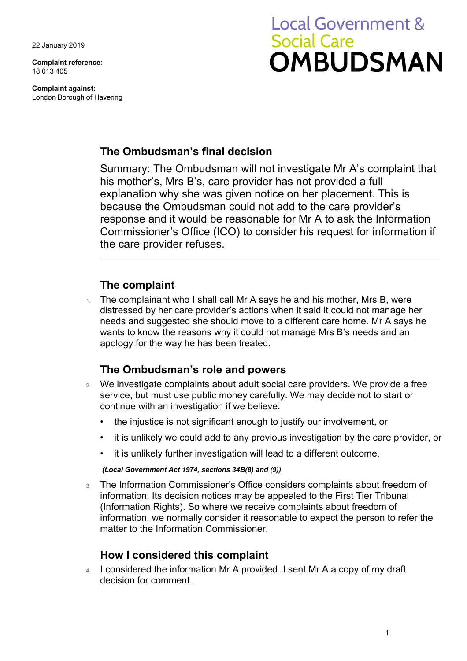22 January 2019

**Complaint reference:**  18 013 405

**Complaint against:**  London Borough of Havering

# **Local Government & Social Care OMBUDSMAN**

## **The Ombudsman's final decision**

Summary: The Ombudsman will not investigate Mr A's complaint that his mother's, Mrs B's, care provider has not provided a full explanation why she was given notice on her placement. This is because the Ombudsman could not add to the care provider's response and it would be reasonable for Mr A to ask the Information Commissioner's Office (ICO) to consider his request for information if the care provider refuses.

## **The complaint**

 wants to know the reasons why it could not manage Mrs B's needs and an 1. The complainant who I shall call Mr A says he and his mother, Mrs B, were distressed by her care provider's actions when it said it could not manage her needs and suggested she should move to a different care home. Mr A says he apology for the way he has been treated.

### **The Ombudsman's role and powers**

- service, but must use public money carefully. We may decide not to start or 2. We investigate complaints about adult social care providers. We provide a free continue with an investigation if we believe:
	- the injustice is not significant enough to justify our involvement, or
	- it is unlikely we could add to any previous investigation by the care provider, or
	- it is unlikely further investigation will lead to a different outcome.

#### *(Local Government Act 1974, sections 34B(8) and (9))*

3. The Information Commissioner's Office considers complaints about freedom of information. Its decision notices may be appealed to the First Tier Tribunal (Information Rights). So where we receive complaints about freedom of information, we normally consider it reasonable to expect the person to refer the matter to the Information Commissioner.

## **How I considered this complaint**

4. I considered the information Mr A provided. I sent Mr A a copy of my draft decision for comment.